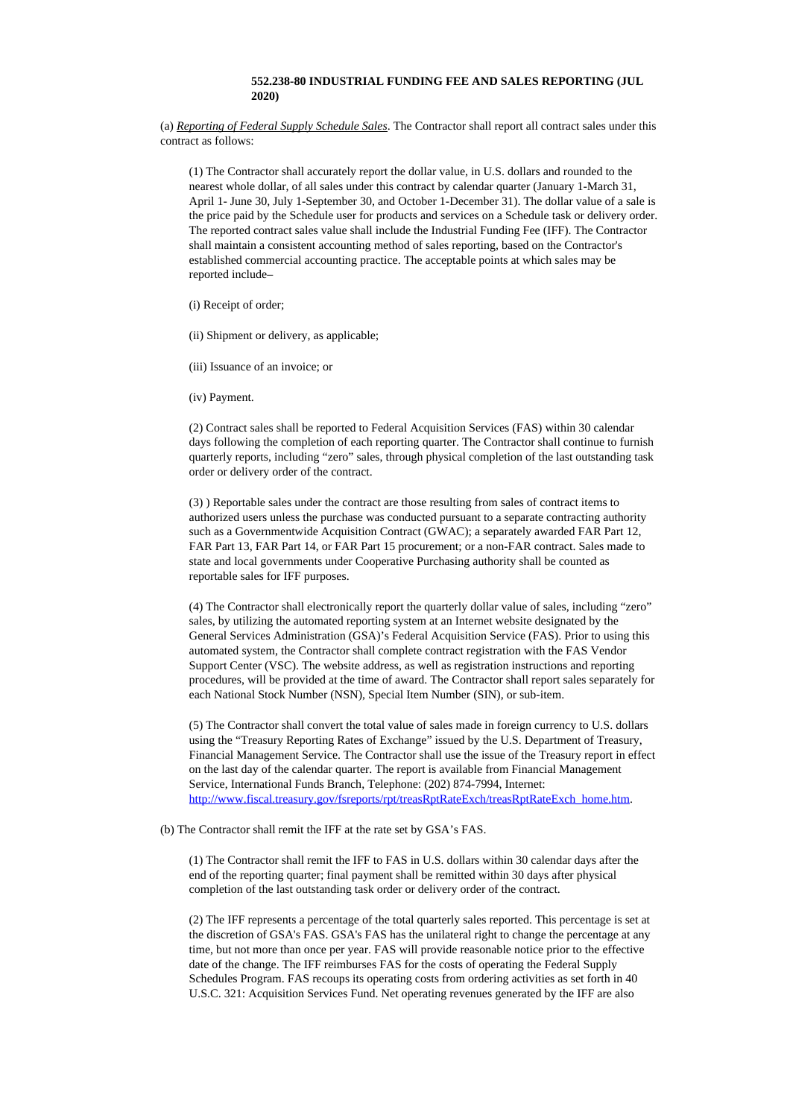## **552.238-80 INDUSTRIAL FUNDING FEE AND SALES REPORTING (JUL 2020)**

(a) *Reporting of Federal Supply Schedule Sales*. The Contractor shall report all contract sales under this contract as follows:

(1) The Contractor shall accurately report the dollar value, in U.S. dollars and rounded to the nearest whole dollar, of all sales under this contract by calendar quarter (January 1-March 31, April 1- June 30, July 1-September 30, and October 1-December 31). The dollar value of a sale is the price paid by the Schedule user for products and services on a Schedule task or delivery order. The reported contract sales value shall include the Industrial Funding Fee (IFF). The Contractor shall maintain a consistent accounting method of sales reporting, based on the Contractor's established commercial accounting practice. The acceptable points at which sales may be reported include–

(i) Receipt of order;

(ii) Shipment or delivery, as applicable;

(iii) Issuance of an invoice; or

(iv) Payment.

(2) Contract sales shall be reported to Federal Acquisition Services (FAS) within 30 calendar days following the completion of each reporting quarter. The Contractor shall continue to furnish quarterly reports, including "zero" sales, through physical completion of the last outstanding task order or delivery order of the contract.

(3) ) Reportable sales under the contract are those resulting from sales of contract items to authorized users unless the purchase was conducted pursuant to a separate contracting authority such as a Governmentwide Acquisition Contract (GWAC); a separately awarded FAR Part 12, FAR Part 13, FAR Part 14, or FAR Part 15 procurement; or a non-FAR contract. Sales made to state and local governments under Cooperative Purchasing authority shall be counted as reportable sales for IFF purposes.

(4) The Contractor shall electronically report the quarterly dollar value of sales, including "zero" sales, by utilizing the automated reporting system at an Internet website designated by the General Services Administration (GSA)'s Federal Acquisition Service (FAS). Prior to using this automated system, the Contractor shall complete contract registration with the FAS Vendor Support Center (VSC). The website address, as well as registration instructions and reporting procedures, will be provided at the time of award. The Contractor shall report sales separately for each National Stock Number (NSN), Special Item Number (SIN), or sub-item.

(5) The Contractor shall convert the total value of sales made in foreign currency to U.S. dollars using the "Treasury Reporting Rates of Exchange" issued by the U.S. Department of Treasury, Financial Management Service. The Contractor shall use the issue of the Treasury report in effect on the last day of the calendar quarter. The report is available from Financial Management Service, International Funds Branch, Telephone: (202) 874-7994, Internet: [http://www.fiscal.treasury.gov/fsreports/rpt/treasRptRateExch/treasRptRateExch\\_home.htm](http://www.fiscal.treasury.gov/fsreports/rpt/treasRptRateExch/treasRptRateExch_home.htm).

(b) The Contractor shall remit the IFF at the rate set by GSA's FAS.

(1) The Contractor shall remit the IFF to FAS in U.S. dollars within 30 calendar days after the end of the reporting quarter; final payment shall be remitted within 30 days after physical completion of the last outstanding task order or delivery order of the contract.

(2) The IFF represents a percentage of the total quarterly sales reported. This percentage is set at the discretion of GSA's FAS. GSA's FAS has the unilateral right to change the percentage at any time, but not more than once per year. FAS will provide reasonable notice prior to the effective date of the change. The IFF reimburses FAS for the costs of operating the Federal Supply Schedules Program. FAS recoups its operating costs from ordering activities as set forth in 40 U.S.C. 321: Acquisition Services Fund. Net operating revenues generated by the IFF are also